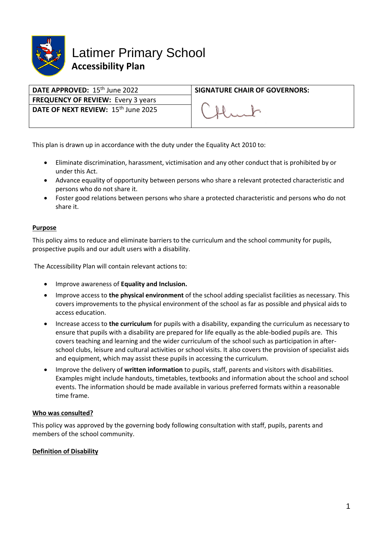

| DATE APPROVED: 15 <sup>th</sup> June 2022       | <b>SIGNATURE CHAIR OF GOVERNORS:</b> |
|-------------------------------------------------|--------------------------------------|
| <b>FREQUENCY OF REVIEW: Every 3 years</b>       |                                      |
| DATE OF NEXT REVIEW: 15 <sup>th</sup> June 2025 |                                      |

This plan is drawn up in accordance with the duty under the Equality Act 2010 to:

- Eliminate discrimination, harassment, victimisation and any other conduct that is prohibited by or under this Act.
- Advance equality of opportunity between persons who share a relevant protected characteristic and persons who do not share it.
- Foster good relations between persons who share a protected characteristic and persons who do not share it.

### **Purpose**

This policy aims to reduce and eliminate barriers to the curriculum and the school community for pupils, prospective pupils and our adult users with a disability.

The Accessibility Plan will contain relevant actions to:

- Improve awareness of **Equality and Inclusion.**
- Improve access to **the physical environment** of the school adding specialist facilities as necessary. This covers improvements to the physical environment of the school as far as possible and physical aids to access education.
- Increase access to **the curriculum** for pupils with a disability, expanding the curriculum as necessary to ensure that pupils with a disability are prepared for life equally as the able-bodied pupils are. This covers teaching and learning and the wider curriculum of the school such as participation in afterschool clubs, leisure and cultural activities or school visits. It also covers the provision of specialist aids and equipment, which may assist these pupils in accessing the curriculum.
- Improve the delivery of **written information** to pupils, staff, parents and visitors with disabilities. Examples might include handouts, timetables, textbooks and information about the school and school events. The information should be made available in various preferred formats within a reasonable time frame.

#### **Who was consulted?**

This policy was approved by the governing body following consultation with staff, pupils, parents and members of the school community.

#### **Definition of Disability**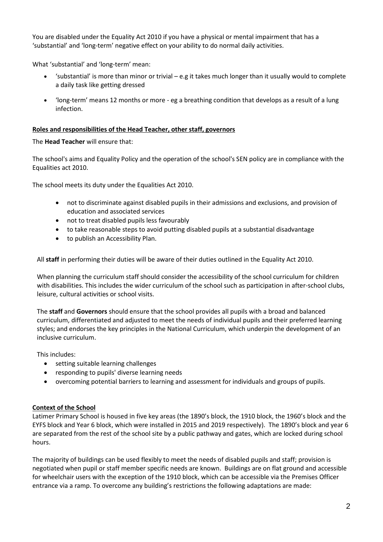You are disabled under the Equality Act 2010 if you have a physical or mental impairment that has a 'substantial' and 'long-term' negative effect on your ability to do normal daily activities.

What 'substantial' and 'long-term' mean:

- 'substantial' is more than minor or trivial e.g it takes much longer than it usually would to complete a daily task like getting dressed
- 'long-term' means 12 months or more eg a breathing condition that develops as a result of a lung infection.

## **Roles and responsibilities of the Head Teacher, other staff, governors**

The **Head Teacher** will ensure that:

The school's aims and Equality Policy and the operation of the school's SEN policy are in compliance with the Equalities act 2010.

The school meets its duty under the Equalities Act 2010.

- not to discriminate against disabled pupils in their admissions and exclusions, and provision of education and associated services
- not to treat disabled pupils less favourably
- to take reasonable steps to avoid putting disabled pupils at a substantial disadvantage
- to publish an Accessibility Plan.

All **staff** in performing their duties will be aware of their duties outlined in the Equality Act 2010.

When planning the curriculum staff should consider the accessibility of the school curriculum for children with disabilities. This includes the wider curriculum of the school such as participation in after-school clubs, leisure, cultural activities or school visits.

The **staff** and **Governors** should ensure that the school provides all pupils with a broad and balanced curriculum, differentiated and adjusted to meet the needs of individual pupils and their preferred learning styles; and endorses the key principles in the National Curriculum, which underpin the development of an inclusive curriculum.

This includes:

- setting suitable learning challenges
- responding to pupils' diverse learning needs
- overcoming potential barriers to learning and assessment for individuals and groups of pupils.

### **Context of the School**

Latimer Primary School is housed in five key areas (the 1890's block, the 1910 block, the 1960's block and the EYFS block and Year 6 block, which were installed in 2015 and 2019 respectively). The 1890's block and year 6 are separated from the rest of the school site by a public pathway and gates, which are locked during school hours.

The majority of buildings can be used flexibly to meet the needs of disabled pupils and staff; provision is negotiated when pupil or staff member specific needs are known. Buildings are on flat ground and accessible for wheelchair users with the exception of the 1910 block, which can be accessible via the Premises Officer entrance via a ramp. To overcome any building's restrictions the following adaptations are made: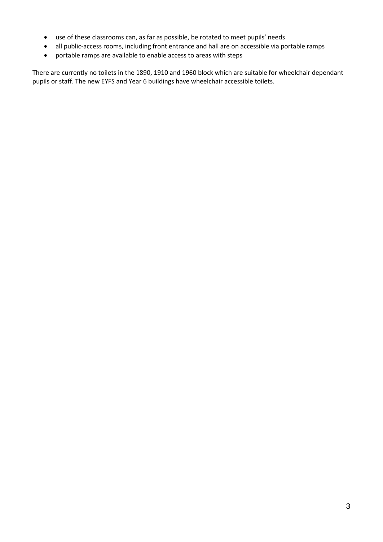- use of these classrooms can, as far as possible, be rotated to meet pupils' needs
- all public-access rooms, including front entrance and hall are on accessible via portable ramps
- portable ramps are available to enable access to areas with steps

There are currently no toilets in the 1890, 1910 and 1960 block which are suitable for wheelchair dependant pupils or staff. The new EYFS and Year 6 buildings have wheelchair accessible toilets.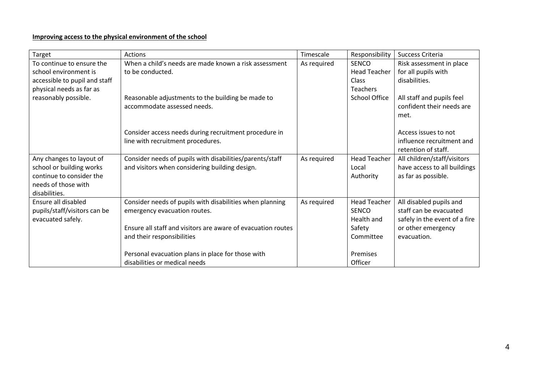# **Improving access to the physical environment of the school**

| Target                        | <b>Actions</b>                                               | Timescale   | Responsibility       | Success Criteria              |
|-------------------------------|--------------------------------------------------------------|-------------|----------------------|-------------------------------|
| To continue to ensure the     | When a child's needs are made known a risk assessment        | As required | SENCO                | Risk assessment in place      |
| school environment is         | to be conducted.                                             |             | <b>Head Teacher</b>  | for all pupils with           |
| accessible to pupil and staff |                                                              |             | Class                | disabilities.                 |
| physical needs as far as      |                                                              |             | <b>Teachers</b>      |                               |
| reasonably possible.          | Reasonable adjustments to the building be made to            |             | <b>School Office</b> | All staff and pupils feel     |
|                               | accommodate assessed needs.                                  |             |                      | confident their needs are     |
|                               |                                                              |             |                      | met.                          |
|                               |                                                              |             |                      |                               |
|                               | Consider access needs during recruitment procedure in        |             |                      | Access issues to not          |
|                               | line with recruitment procedures.                            |             |                      | influence recruitment and     |
|                               |                                                              |             |                      | retention of staff.           |
| Any changes to layout of      | Consider needs of pupils with disabilities/parents/staff     | As required | <b>Head Teacher</b>  | All children/staff/visitors   |
| school or building works      | and visitors when considering building design.               |             | Local                | have access to all buildings  |
| continue to consider the      |                                                              |             | Authority            | as far as possible.           |
| needs of those with           |                                                              |             |                      |                               |
| disabilities.                 |                                                              |             |                      |                               |
| Ensure all disabled           | Consider needs of pupils with disabilities when planning     | As required | <b>Head Teacher</b>  | All disabled pupils and       |
| pupils/staff/visitors can be  | emergency evacuation routes.                                 |             | <b>SENCO</b>         | staff can be evacuated        |
| evacuated safely.             |                                                              |             | Health and           | safely in the event of a fire |
|                               | Ensure all staff and visitors are aware of evacuation routes |             | Safety               | or other emergency            |
|                               | and their responsibilities                                   |             | Committee            | evacuation.                   |
|                               |                                                              |             |                      |                               |
|                               | Personal evacuation plans in place for those with            |             | Premises             |                               |
|                               | disabilities or medical needs                                |             | Officer              |                               |